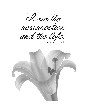"I am the

resurnection

and the life."

JOHN  $/11:25$ 

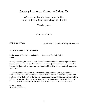# **Calvary Lutheran Church – Dallas, TX**

A Service of Comfort and Hope for the Family and Friends of James Rayford Plumlee

March 1, 2022

+++++++

**OPENING HYMN** 515 – Christ is the World's Light (page 10)

# **REMEMBRANCE OF BAPTISM**

In the name of the Father and of the  $+$  Son and of the Holy Spirit. **Amen.**

In Holy Baptism, Jim Plumlee was clothed with the robe of Christ's righteousness that covered all his sin. St. Paul affirms, "In Christ Jesus you are all children of God through faith, for all of you who were baptized into Christ have clothed yourselves with Christ."

The apostle also writes, "All of us who were baptized into Christ Jesus were baptized into his death. We were therefore buried with him through baptism into death in order that, just as Christ was raised from the dead through the glory of the Father, we too may live a new life. For if we have been united with him in a death like his, we will certainly also be united with him in a resurrection like his."

Christ is risen! **He is risen, indeed!**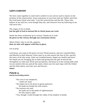# **GOD'S COMFORT**

We have come together to seek God's comfort in our sorrow and to rejoice in the promise of the resurrection. Grace and peace to you from God our Father and from the Lord Jesus Christ who said, "I am the resurrection and the life. Those who believe in me will live, even though they die; and whoever lives by believing in me will never die."

The wages of sin is death, **but the gift of God is eternal life in Christ Jesus our Lord.**

Death has been swallowed up in victory! Thanks be to God! **He gives us the victory through our Lord Jesus Christ.**

When Christ, who is our life, appears, **then we also will appear with him in glory.**

Let us pray.

Lord Jesus, you wept at the grave of your friend Lazarus, and you consoled Mary and Martha in their distress. Draw near to us who mourn the loss of Jim, and dry the tears of all who weep. Calm our troubled hearts; dispel our doubts and fears. We thank you for bringing Jim to faith and giving him the gift of eternal life. Strengthen us with your Word and sacraments, and keep us in the saving faith until we are united with you and all the saints where you live and reign with the Father and the Holy Spirit, one God, now and forever. **Amen.**

# **PSALM 23**

*Read by the presiding minister*

<sup>1</sup>The LORD *is* my shepherd; I shall not want. **<sup>2</sup>** He makes me to lie down in green pastures; He leads me beside the still waters. **<sup>3</sup>** He restores my soul: He leads me in the paths of righteousness For His name's sake.

**<sup>4</sup>** Yea, though I walk through the valley of the shadow of death,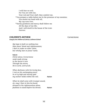I will fear no evil; For You *are* with me; Your rod and Your staff, they comfort me. **<sup>5</sup>** You prepare a table before me in the presence of my enemies; You anoint my head with oil; My cup runs over. **<sup>6</sup>** Surely goodness and mercy shall follow me All the days of my life; And I will dwell in the house of the LORD Forever.

### **CHILDREN'S ANTHEM** Cornerstone

*Sung by the children of Calvary Lutheran School*

*My hope is built on nothing less than Jesus' blood and righteousness; I dare to make no other claim, but wholly lean on Jesus' name.*

### *Refrain*

*Christ alone; Cornerstone weak made strong in the Savior's love Through the storm, He is Lord, Lord of all.*

*When darkness veils his lovely face, I rest on his unchanging grace; In ev'ry high and stormy gale my anchor holds within the veil. Refrain*

*When he shall come with trumpet sound, oh, may I then in him be found, dressed in his righteousness alone, faultless to stand before his throne. Refrain*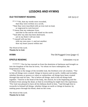# **LESSONS AND HYMNS**

### **OLD TESTAMENT READING State of the Second State of the Second State of the Second State of the Second State of the Second State of the Second State of the Second State of the Second State of the Second State of the Seco**

<sup>JOB 19:23</sup>"Oh, that my words were recorded, that they were written on a scroll, <sup>24</sup>that they were inscribed with an iron tool on lead, or engraved in rock forever! <sup>25</sup>I know that my redeemer lives, and that in the end he will stand on the earth.  $26$ And after my skin has been destroyed, yet in my flesh I will see God; <sup>27</sup>I myself will see him with my own eyes—I, and not another. How my heart yearns within me!

The Word of the Lord. **Thanks be to God.**

**HYMN** The Old Rugged Cross (page 11)

## **EPISTLE READING** Colossians 1:13-20

COLOSSIANS 1:13For he has rescued us from the dominion of darkness and brought us into the kingdom of the Son he loves,  $14$ in whom we have redemption, the forgiveness of sins.

<sup>15</sup>The Son is the image of the invisible God, the firstborn over all creation.  $^{16}$ For in him all things were created: things in heaven and on earth, visible and invisible, whether thrones or powers or rulers or authorities; all things have been created through him and for him.  $17$ He is before all things, and in him all things hold together.  $^{18}$ And he is the head of the body, the church; he is the beginning and the firstborn from among the dead, so that in everything he might have the supremacy. <sup>19</sup>For God was pleased to have all his fullness dwell in him, <sup>20</sup> and through him to reconcile to himself all things, whether things on earth or things in heaven, by making peace through his blood, shed on the cross.

The Word of the Lord. **Thanks be to God.**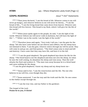**HYMN** 345 – Where Shepherds Lately Knelt (Page 12)

**GOSPEL READINGS** Jesus' "I Am" Statements

JOHN 6:35Then Jesus declared, "I am the bread of life. Whoever comes to me will never go hungry, and whoever believes in me will never be thirsty... <sup>48</sup>I am the bread of life...<sup>51</sup>I am the living bread that came down from heaven. Whoever eats this bread will live forever. This bread is my flesh, which I will give for the life of the world."

JOHN 8:12When Jesus spoke again to the people, he said, "I am the light of the world. Whoever follows me will never walk in darkness, but will have the light of life."... <sup>9:5</sup> While I am in the world, I am the light of the world."

JOHN 10:7Therefore Jesus said again, "Very truly I tell you, I am the gate for the sheep. <sup>8</sup>All who have come before me are thieves and robbers, but the sheep have not listened to them. <sup>9</sup> I am the gate; whoever enters through me will be saved. They will come in and go out, and find pasture. <sup>10</sup>The thief comes only to steal and kill and destroy; I have come that they may have life, and have it to the full.

JOHN 10:11"I am the good shepherd. The good shepherd lays down his life for the sheep. <sup>12</sup>The hired hand is not the shepherd and does not own the sheep. So when he sees the wolf coming, he abandons the sheep and runs away. Then the wolf attacks the flock and scatters it. <sup>13</sup>The man runs away because he is a hired hand and cares nothing for the sheep.

 $14\text{°I}$  am the good shepherd; I know my sheep and my sheep know me $-$ 

JOHN 11:25Jesus said to her, "I am the resurrection and the life. The one who believes in me will live, even though they die;

<sup>JOHN 14:6</sup>Jesus answered, "I am the way and the truth and the life. No one comes to the Father except through me.

JOHN 15:1" I am the true vine, and my Father is the gardener.

The Gospel of the Lord. **Praise be to you, O Christ!**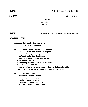**SERMON** Colossians 1:18

# **Jesus is #1**

1. In quality 2. In time

**HYMN** 200 – O God, Our Help in Ages Past (page 14)

## **APOSTLES' CREED**

**I believe in God, the Father almighty, maker of heaven and earth.**

**I believe in Jesus Christ, his only Son, our Lord, who was conceived by the Holy Spirit, born of the virgin Mary, suffered under Pontius Pilate, was crucified, died, and was buried. He descended into hell. The third day he rose again from the dead. He ascended into heaven and is seated at the right hand of God the Father almighty. From there he will come to judge the living and the dead.**

**I believe in the Holy Spirit,**

**the holy Christian Church, the communion of saints, the forgiveness of sins, the resurrection of the body, and the life everlasting. Amen.**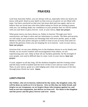# **PRAYERS**

Lord God, heavenly Father, you are always with us, especially when our hearts are heavy with grief. Send us your Spirit so that even as we grieve we are filled with hope. You have convinced us that your Son Jesus died and rose again, and so we believe that our loved ones who have fallen asleep in Christ are resting in peace with you. Let nothing shake our confidence in your promise that we will be united with you and them in glory forever. Lord, in your mercy, **hear our prayer.**

What great mercy you have shown us, Father in heaven! Through your Son's resurrection, our hope is alive and our inheritance is certain. The bliss and security we will enjoy in your presence are blessings that will never perish, spoil, or fade. Shield us with your power and give us faith to trust in you in every trial until we inherit the glorious riches you are keeping for us in heaven. Lord, in your mercy, **hear our prayer.**

Gracious God, we see your abiding love in the kindness shown to us by family and friends. As we receive comfort and encouragement from others, we are experiencing your care. Help us bear all our burdens patiently. Be the strength of your people, now and in difficult days to come. Lord, in your mercy, **hear our prayer.**

O Lord, support us all day long, till the shadows lengthen and the evening comes and the busy world is hushed and the fever of life is over and our work is done. Then, in your mercy, grant us a safe lodging and a holy rest and peace at the last; through Jesus Christ our Lord. **Amen.**

# **LORD'S PRAYER**

**Our Father, who art in heaven, hallowed be thy name, thy kingdom come, thy will be done on earth as it is in heaven. Give us this day our daily bread; and forgive us our trespasses, as we forgive those who trespass against us; and lead us not into temptation, but deliver us from evil. For thine is the kingdom and the power and the glory forever and ever. Amen.**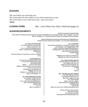### **BLESSING**

The Lord bless you and keep you.

The Lord make his face shine on you and be gracious to you. The Lord look on you with favor and + give you peace. **Amen.**

### **CLOSING HYMN** 884 – Lord, When Your Glory I Shall See (page 15)

## **ACKNOWLEDGMENTS**

### *Christian Funeral from Christian Worship*

*Unless otherwise indicated, Scripture quotations are from The Holy Bible, New International Version®, NIV®. Copyright © 1973, 1978, 1984, 2011 by Biblica, Inc.TM Used by permission of Zondervan. All rights reserved worldwide.*

> *Software distributed in partnership with Northwestern Publishing House. Created by Christian Worship: Service Builder © 2022 Concordia Publishing House.*

#### *510 – In Christ Alone*

*Text and music: Keith Getty, b. 1974; Stuart Townend, b. 1963 Text and music: © 2002 Thankyou Music (PRS) (admin. worldwide at CapitolCMGPublishing.com excluding Europe which is admn. by Integrity Music, part of the David C. Cook family IN CHRIST ALONE LM D Philippians 3:8-9; Isaiah 53:5-6; Romans 5:9;* 

*Galatians 3:13; 1 Peter 1:18-19; John 10:28*

#### *820 – O God, Our Help in Ages Past*

*Text: Isaac Watts, 1674-1748 (abr., alt.) Tune: William Croft, 1678-1727; setting: The Lutheran Hymnal, 1941 Text and music: © Public Domain ST. ANNE CM Psalm 90*

#### *884 – Lord, When Your Glory I Shall See Text: Paul Gerhardt, 1607-1676; tr. The Lutheran Hymnal, 1941, alt. Music: Kurt J. Eggert, 1923-1993 Text: © Public Domain Music: © 1993 Kurt J. Eggert, admin. Northwestern Publishing House WEDDING GLORY 87 87 887 887 Isaiah 61:10; John 17:24; 2 Timothy 4:8; Revelation 19:6-9*

*All texts and music reprinted under: OneLicense A-714955; CCLI # 3081415 [2/28/2022]; Streaming License B CSPL036414 [3/31/2022*

*515 – Christ Is the World's Light Text: Fred Pratt Green, 1903-2000 (alt.) Music: K. Lee Scott, b. 1950 Text: © 1969 Hope Publishing Company Music: © 2004 Concordia Publishing House NANDINA HILL 10 11 11 6 John 8:12; Hebrews 2:10-18; John 14:27; John 11:25-26; Mark 3:31-35*

#### *The Old Rugged Cross*

*Text and Tune: George Bennard, 1873-1958 Text and Tune © Public Domain (1913) OLD RUGGED CROSS Meter: 6.6.8.6.6.8 with refrain Matthew 27:33-44; Mark 15:22-32; Luke 23:33-43; John 1:29, 14:2-3, 19:17-24; 1 Corinthians 1:22-25; Galatians 6:14; Philippians 2:8, 3:14, 3:18; 2 Timothy 1:11-12, 4:8; Hebrews 10:10, 12:2; James 1:12; Revelation 2, 3:11*

#### *345 – Where Shepherds Lately Knelt*

*Text: Jaroslav J. Vajda, 1919-2008 Tune: Carl F. Schalk, 1929-2021 Text: © 1986 Concordia Publishing House Tune: © 1986 GIA Publications, Inc. MANGER SONG 12 12 10 10 Luke 2:1-16; Isaiah 9:1-7*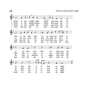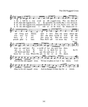The Old Rugged Cross

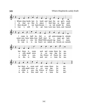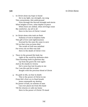**510** In Christ Alone

- 1. In Christ alone my hope is found He is my light, my strength, my song This cornerstone, this solid ground Firm through the fiercest drought and storm What heights of love, what depths of peace When fears are stilled, when strivings cease My comforter, my all in all Here in the love of Christ I stand
- 2. In Christ alone who took on flesh Fullness of God in helpless babe This gift of love and righteousness Scorned by the ones He came to save Till on that cross as Jesus died The wrath of God was satisfied For every sin on Him was laid Here in the death of Christ I live
- 3. There in the ground His body lay Light of the world by darkness slain Then bursting forth in glorious day Up from the grave He rose again And as He stands in victory Sin's curse has lost its grip on me For I am His and He is mine Bought with the precious blood of Christ
- 4. No guilt in life, no fear in death This is the power of Christ in me From life's first cry to final breath Jesus commands my destiny No power of hell, no scheme of man Can ever pluck me from His hand Till He returns or calls me home Here in the power of Christ I'll stand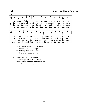

- soon bears us all away; we fly forgotten, as a dream dies at the op'ning day.
- 6 O God, our help in ages past, our hope for years to come, still be our guard while troubles last and our eternal home!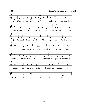